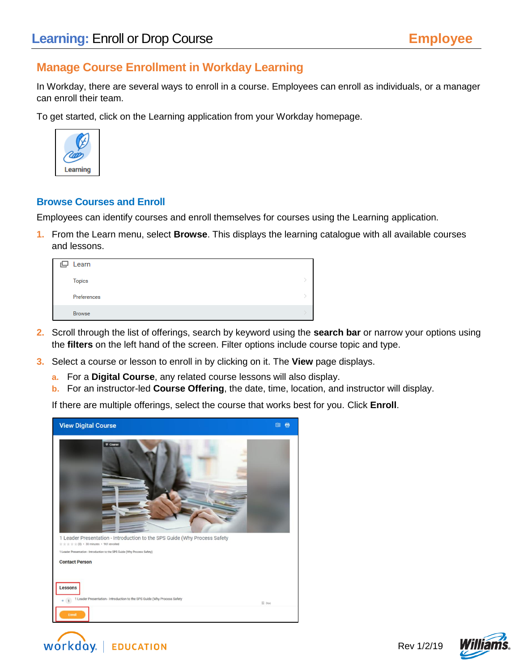# **Manage Course Enrollment in Workday Learning**

In Workday, there are several ways to enroll in a course. Employees can enroll as individuals, or a manager can enroll their team.

To get started, click on the Learning application from your Workday homepage.



#### **Browse Courses and Enroll**

Employees can identify courses and enroll themselves for courses using the Learning application.

**1.** From the Learn menu, select **Browse**. This displays the learning catalogue with all available courses and lessons.

| rП | Learn         |  |
|----|---------------|--|
|    | <b>Topics</b> |  |
|    | Preferences   |  |
|    | <b>Browse</b> |  |

- **2.** Scroll through the list of offerings, search by keyword using the **search bar** or narrow your options using the **filters** on the left hand of the screen. Filter options include course topic and type.
- **3.** Select a course or lesson to enroll in by clicking on it. The **View** page displays.
	- **a.** For a **Digital Course**, any related course lessons will also display.
	- **b.** For an instructor-led **Course Offering**, the date, time, location, and instructor will display.

If there are multiple offerings, select the course that works best for you. Click **Enroll**.





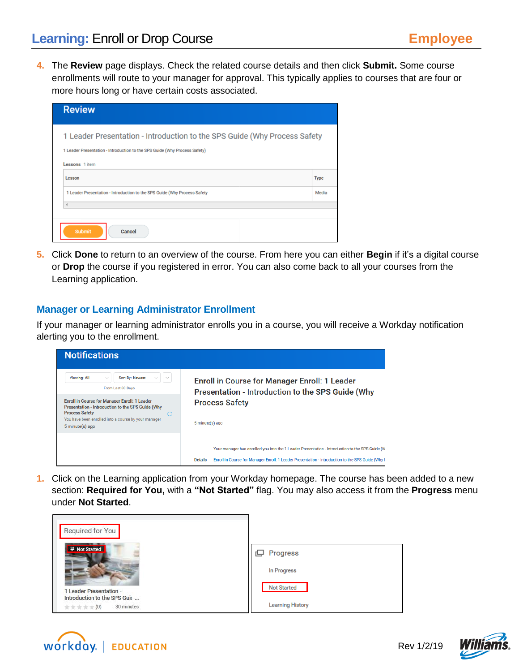**4.** The **Review** page displays. Check the related course details and then click **Submit.** Some course enrollments will route to your manager for approval. This typically applies to courses that are four or more hours long or have certain costs associated.

| <b>Review</b>                                                                                                                                                             |             |
|---------------------------------------------------------------------------------------------------------------------------------------------------------------------------|-------------|
| 1 Leader Presentation - Introduction to the SPS Guide (Why Process Safety<br>1 Leader Presentation - Introduction to the SPS Guide (Why Process Safety)<br>Lessons 1 item |             |
| Lesson                                                                                                                                                                    | <b>Type</b> |
| 1 Leader Presentation - Introduction to the SPS Guide (Why Process Safety                                                                                                 | Media       |
| $\overline{a}$                                                                                                                                                            |             |
| <b>Submit</b><br>Cancel                                                                                                                                                   |             |

**5.** Click **Done** to return to an overview of the course. From here you can either **Begin** if it's a digital course or **Drop** the course if you registered in error. You can also come back to all your courses from the Learning application.

#### **Manager or Learning Administrator Enrollment**

If your manager or learning administrator enrolls you in a course, you will receive a Workday notification alerting you to the enrollment.

| <b>Notifications</b>                                                                                                                                                                                          |                                                                                                                                                                                                                      |
|---------------------------------------------------------------------------------------------------------------------------------------------------------------------------------------------------------------|----------------------------------------------------------------------------------------------------------------------------------------------------------------------------------------------------------------------|
| Viewing: All<br>Sort By: Newest<br>$\checkmark$<br>From Last 30 Days                                                                                                                                          | <b>Enroll in Course for Manager Enroll: 1 Leader</b><br>Presentation - Introduction to the SPS Guide (Why                                                                                                            |
| <b>Enroll in Course for Manager Enroll: 1 Leader</b><br>Presentation - Introduction to the SPS Guide (Why<br><b>Process Safety</b><br>You have been enrolled into a course by your manager<br>5 minute(s) ago | <b>Process Safety</b><br>5 minute(s) ago                                                                                                                                                                             |
|                                                                                                                                                                                                               | Your manager has enrolled you into the 1 Leader Presentation - Introduction to the SPS Guide (W<br>Enroll in Course for Manager Enroll: 1 Leader Presentation - Introduction to the SPS Guide (Why<br><b>Details</b> |

**1.** Click on the Learning application from your Workday homepage. The course has been added to a new section: **Required for You,** with a **"Not Started"** flag. You may also access it from the **Progress** menu under **Not Started**.

| Required for You                                        |                         |
|---------------------------------------------------------|-------------------------|
| <b>原 Not Started</b>                                    | Progress                |
|                                                         | In Progress             |
| 1 Leader Presentation -<br>Introduction to the SPS Guic | <b>Not Started</b>      |
| ★ ★ ★ ★ ★ (0)<br>30 minutes                             | <b>Learning History</b> |



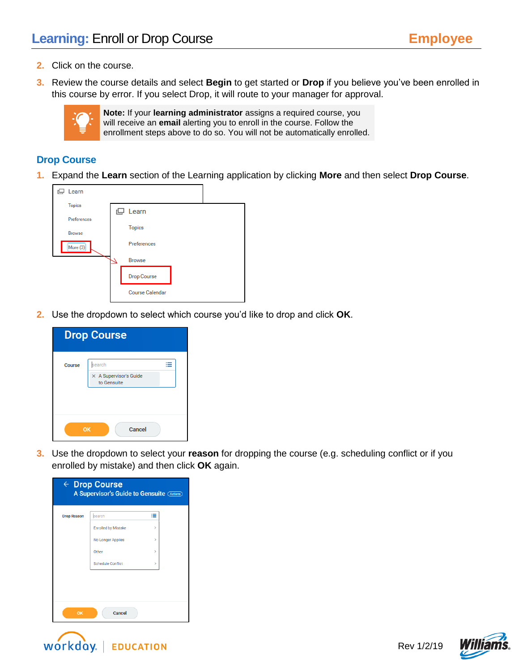- **2.** Click on the course.
- **3.** Review the course details and select **Begin** to get started or **Drop** if you believe you've been enrolled in this course by error. If you select Drop, it will route to your manager for approval.



**Note:** If your **learning administrator** assigns a required course, you will receive an **email** alerting you to enroll in the course. Follow the enrollment steps above to do so. You will not be automatically enrolled.

## **Drop Course**

**1.** Expand the **Learn** section of the Learning application by clicking **More** and then select **Drop Course**.



**2.** Use the dropdown to select which course you'd like to drop and click **OK**.

|               | <b>Drop Course</b>                                          |  |
|---------------|-------------------------------------------------------------|--|
| <b>Course</b> | ≡<br>search<br>$\times$ A Supervisor's Guide<br>to Gensuite |  |
|               | Cancel<br>OK                                                |  |

**3.** Use the dropdown to select your **reason** for dropping the course (e.g. scheduling conflict or if you enrolled by mistake) and then click **OK** again.

| $\leftarrow$ Drop Course<br>A Supervisor's Guide to Gensuite (Actions) |                            |               |  |
|------------------------------------------------------------------------|----------------------------|---------------|--|
| <b>Drop Reason</b>                                                     | search                     | ≡             |  |
|                                                                        | <b>Enrolled by Mistake</b> | $\mathcal{P}$ |  |
|                                                                        | <b>No Longer Applies</b>   | $\mathcal{L}$ |  |
|                                                                        | Other                      | $\mathcal{P}$ |  |
|                                                                        | <b>Schedule Conflict</b>   | $\mathcal{P}$ |  |
|                                                                        |                            |               |  |
| OK                                                                     | Cancel                     |               |  |